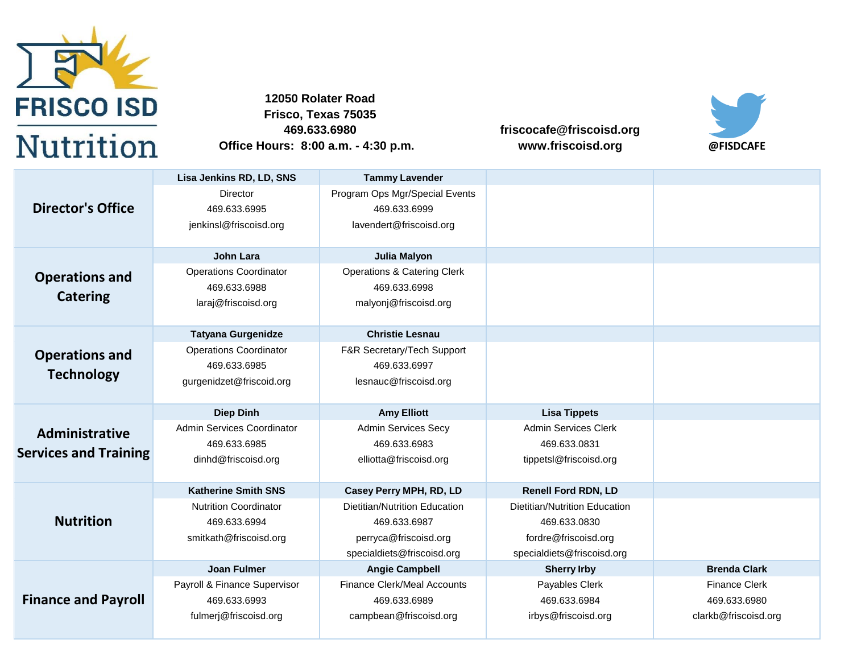

**469.633.6980 Office Hours: 8:00 a.m. - 4:30 p.m. Frisco, Texas 75035 12050 Rolater Road**

**friscocafe@friscoisd.org www.friscoisd.org @FISDCAFE**



|                              | Lisa Jenkins RD, LD, SNS      | <b>Tammy Lavender</b>                  |                               |                      |
|------------------------------|-------------------------------|----------------------------------------|-------------------------------|----------------------|
|                              | Director                      | Program Ops Mgr/Special Events         |                               |                      |
| <b>Director's Office</b>     | 469.633.6995                  | 469.633.6999                           |                               |                      |
|                              | jenkinsl@friscoisd.org        | lavendert@friscoisd.org                |                               |                      |
|                              |                               |                                        |                               |                      |
|                              | <b>John Lara</b>              | Julia Malyon                           |                               |                      |
| <b>Operations and</b>        | <b>Operations Coordinator</b> | <b>Operations &amp; Catering Clerk</b> |                               |                      |
|                              | 469.633.6988                  | 469.633.6998                           |                               |                      |
| <b>Catering</b>              | laraj@friscoisd.org           | malyonj@friscoisd.org                  |                               |                      |
|                              |                               |                                        |                               |                      |
|                              | <b>Tatyana Gurgenidze</b>     | <b>Christie Lesnau</b>                 |                               |                      |
| <b>Operations and</b>        | <b>Operations Coordinator</b> | F&R Secretary/Tech Support             |                               |                      |
|                              | 469.633.6985                  | 469.633.6997                           |                               |                      |
| <b>Technology</b>            | gurgenidzet@friscoid.org      | lesnauc@friscoisd.org                  |                               |                      |
|                              |                               |                                        |                               |                      |
|                              |                               |                                        |                               |                      |
|                              | <b>Diep Dinh</b>              | <b>Amy Elliott</b>                     | <b>Lisa Tippets</b>           |                      |
|                              | Admin Services Coordinator    | <b>Admin Services Secy</b>             | <b>Admin Services Clerk</b>   |                      |
| Administrative               | 469.633.6985                  | 469.633.6983                           | 469.633.0831                  |                      |
| <b>Services and Training</b> | dinhd@friscoisd.org           | elliotta@friscoisd.org                 | tippetsl@friscoisd.org        |                      |
|                              |                               |                                        |                               |                      |
|                              | <b>Katherine Smith SNS</b>    | Casey Perry MPH, RD, LD                | <b>Renell Ford RDN, LD</b>    |                      |
|                              | <b>Nutrition Coordinator</b>  | Dietitian/Nutrition Education          | Dietitian/Nutrition Education |                      |
| <b>Nutrition</b>             | 469.633.6994                  | 469.633.6987                           | 469.633.0830                  |                      |
|                              | smitkath@friscoisd.org        | perryca@friscoisd.org                  | fordre@friscoisd.org          |                      |
|                              |                               | specialdiets@friscoisd.org             | specialdiets@friscoisd.org    |                      |
|                              | <b>Joan Fulmer</b>            | <b>Angie Campbell</b>                  | <b>Sherry Irby</b>            | <b>Brenda Clark</b>  |
|                              | Payroll & Finance Supervisor  | <b>Finance Clerk/Meal Accounts</b>     | Payables Clerk                | <b>Finance Clerk</b> |
| <b>Finance and Payroll</b>   | 469.633.6993                  | 469.633.6989                           | 469.633.6984                  | 469.633.6980         |
|                              | fulmerj@friscoisd.org         | campbean@friscoisd.org                 | irbys@friscoisd.org           | clarkb@friscoisd.org |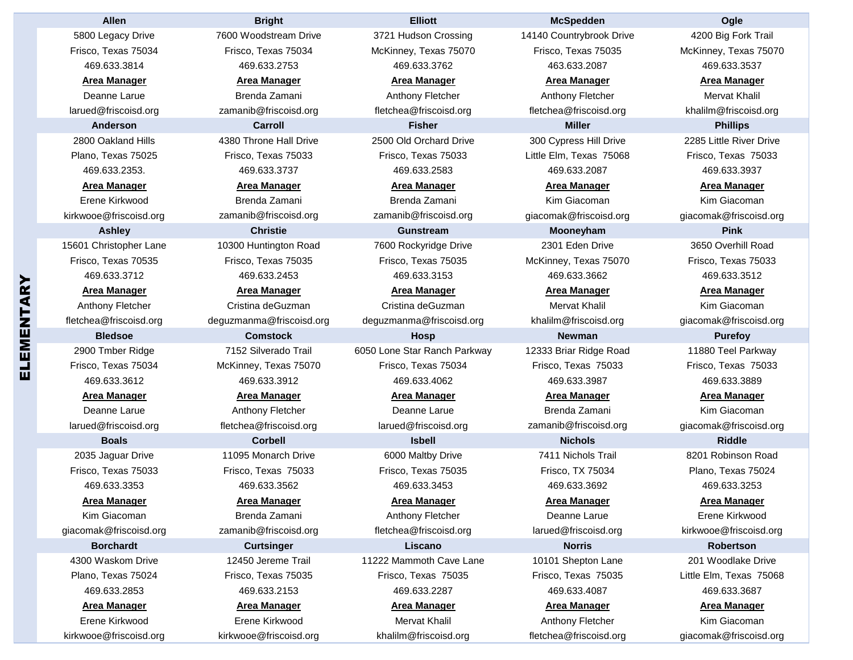| <b>Allen</b>           | <b>Bright</b>            | <b>Elliott</b>               | <b>McSpedden</b>         | Ogle                    |
|------------------------|--------------------------|------------------------------|--------------------------|-------------------------|
| 5800 Legacy Drive      | 7600 Woodstream Drive    | 3721 Hudson Crossing         | 14140 Countrybrook Drive | 4200 Big Fork Trail     |
| Frisco, Texas 75034    | Frisco, Texas 75034      | McKinney, Texas 75070        | Frisco, Texas 75035      | McKinney, Texas 75070   |
| 469.633.3814           | 469.633.2753             | 469.633.3762                 | 463.633.2087             | 469.633.3537            |
| <b>Area Manager</b>    | <b>Area Manager</b>      | <b>Area Manager</b>          | <b>Area Manager</b>      | <b>Area Manager</b>     |
| Deanne Larue           | Brenda Zamani            | Anthony Fletcher             | Anthony Fletcher         | Mervat Khalil           |
| larued@friscoisd.org   | zamanib@friscoisd.org    | fletchea@friscoisd.org       | fletchea@friscoisd.org   | khalilm@friscoisd.org   |
| <b>Anderson</b>        | <b>Carroll</b>           | <b>Fisher</b>                | <b>Miller</b>            | <b>Phillips</b>         |
| 2800 Oakland Hills     | 4380 Throne Hall Drive   | 2500 Old Orchard Drive       | 300 Cypress Hill Drive   | 2285 Little River Drive |
| Plano, Texas 75025     | Frisco. Texas 75033      | Frisco, Texas 75033          | Little Elm, Texas 75068  | Frisco, Texas 75033     |
| 469.633.2353.          | 469.633.3737             | 469.633.2583                 | 469.633.2087             | 469.633.3937            |
| <b>Area Manager</b>    | <b>Area Manager</b>      | <b>Area Manager</b>          | <b>Area Manager</b>      | <b>Area Manager</b>     |
| Erene Kirkwood         | Brenda Zamani            | Brenda Zamani                | Kim Giacoman             | Kim Giacoman            |
| kirkwooe@friscoisd.org | zamanib@friscoisd.org    | zamanib@friscoisd.org        | giacomak@friscoisd.org   | giacomak@friscoisd.org  |
| <b>Ashley</b>          | <b>Christie</b>          | <b>Gunstream</b>             | Mooneyham                | <b>Pink</b>             |
| 15601 Christopher Lane | 10300 Huntington Road    | 7600 Rockyridge Drive        | 2301 Eden Drive          | 3650 Overhill Road      |
| Frisco, Texas 70535    | Frisco, Texas 75035      | Frisco, Texas 75035          | McKinney, Texas 75070    | Frisco, Texas 75033     |
| 469.633.3712           | 469.633.2453             | 469.633.3153                 | 469.633.3662             | 469.633.3512            |
| <b>Area Manager</b>    | <b>Area Manager</b>      | <b>Area Manager</b>          | <b>Area Manager</b>      | <b>Area Manager</b>     |
| Anthony Fletcher       | Cristina deGuzman        | Cristina deGuzman            | <b>Mervat Khalil</b>     | Kim Giacoman            |
| fletchea@friscoisd.org | deguzmanma@friscoisd.org | deguzmanma@friscoisd.org     | khalilm@friscoisd.org    | giacomak@friscoisd.org  |
| <b>Bledsoe</b>         | <b>Comstock</b>          | <b>Hosp</b>                  | <b>Newman</b>            | <b>Purefoy</b>          |
| 2900 Tmber Ridge       | 7152 Silverado Trail     | 6050 Lone Star Ranch Parkway | 12333 Briar Ridge Road   | 11880 Teel Parkway      |
| Frisco, Texas 75034    | McKinney, Texas 75070    | Frisco, Texas 75034          | Frisco, Texas 75033      | Frisco, Texas 75033     |
| 469.633.3612           | 469.633.3912             | 469.633.4062                 | 469.633.3987             | 469.633.3889            |
| <b>Area Manager</b>    | <b>Area Manager</b>      | <b>Area Manager</b>          | <b>Area Manager</b>      | <b>Area Manager</b>     |
| Deanne Larue           | Anthony Fletcher         | Deanne Larue                 | Brenda Zamani            | Kim Giacoman            |
| larued@friscoisd.org   | fletchea@friscoisd.org   | larued@friscoisd.org         | zamanib@friscoisd.org    | giacomak@friscoisd.org  |
| <b>Boals</b>           | <b>Corbell</b>           | <b>Isbell</b>                | <b>Nichols</b>           | <b>Riddle</b>           |
| 2035 Jaguar Drive      | 11095 Monarch Drive      | 6000 Maltby Drive            | 7411 Nichols Trail       | 8201 Robinson Road      |
| Frisco, Texas 75033    | Frisco, Texas 75033      | Frisco, Texas 75035          | Frisco, TX 75034         | Plano, Texas 75024      |
| 469.633.3353           | 469.633.3562             | 469.633.3453                 | 469.633.3692             | 469.633.3253            |
| <b>Area Manager</b>    | <b>Area Manager</b>      | <b>Area Manager</b>          | Area Manager             | <b>Area Manager</b>     |
| Kim Giacoman           | Brenda Zamani            | Anthony Fletcher             | Deanne Larue             | Erene Kirkwood          |
| giacomak@friscoisd.org | zamanib@friscoisd.org    | fletchea@friscoisd.org       | larued@friscoisd.org     | kirkwooe@friscoisd.org  |
| <b>Borchardt</b>       | <b>Curtsinger</b>        | Liscano                      | <b>Norris</b>            | <b>Robertson</b>        |
| 4300 Waskom Drive      | 12450 Jereme Trail       | 11222 Mammoth Cave Lane      | 10101 Shepton Lane       | 201 Woodlake Drive      |
| Plano, Texas 75024     | Frisco, Texas 75035      | Frisco, Texas 75035          | Frisco, Texas 75035      | Little Elm, Texas 75068 |
| 469.633.2853           | 469.633.2153             | 469.633.2287                 | 469.633.4087             | 469.633.3687            |
| <b>Area Manager</b>    | <b>Area Manager</b>      | <b>Area Manager</b>          | <b>Area Manager</b>      | <b>Area Manager</b>     |
| Erene Kirkwood         | Erene Kirkwood           | Mervat Khalil                | Anthony Fletcher         | Kim Giacoman            |
| kirkwooe@friscoisd.org | kirkwooe@friscoisd.org   | khalilm@friscoisd.org        | fletchea@friscoisd.org   | giacomak@friscoisd.org  |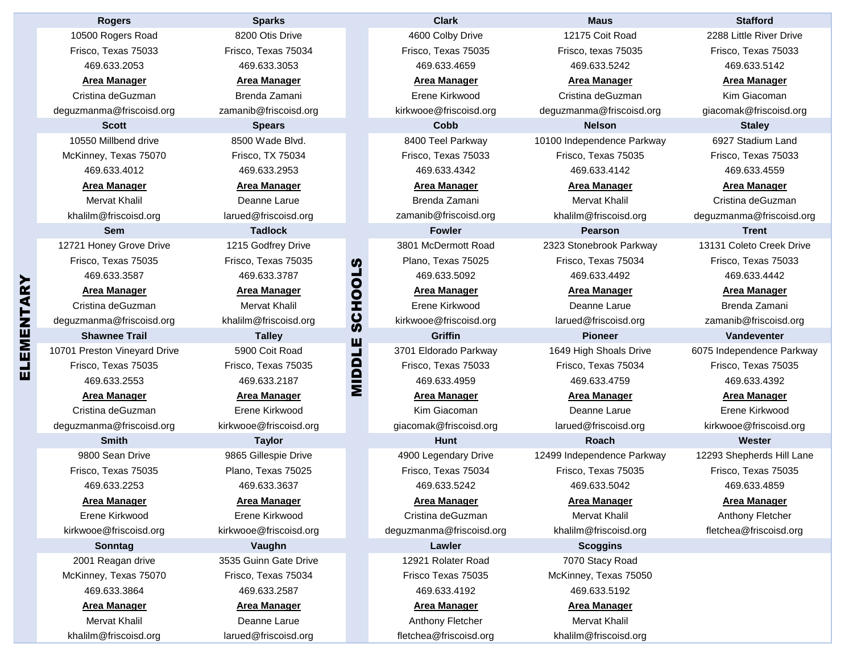|        | <b>Rogers</b>                | <b>Sparks</b>          |               | <b>Clark</b>             | <b>Maus</b>                | <b>Stafford</b>           |
|--------|------------------------------|------------------------|---------------|--------------------------|----------------------------|---------------------------|
|        | 10500 Rogers Road            | 8200 Otis Drive        |               | 4600 Colby Drive         | 12175 Coit Road            | 2288 Little River Drive   |
|        | Frisco. Texas 75033          | Frisco, Texas 75034    |               | Frisco, Texas 75035      | Frisco, texas 75035        | Frisco, Texas 75033       |
|        | 469.633.2053                 | 469.633.3053           |               | 469.633.4659             | 469.633.5242               | 469.633.5142              |
|        | <b>Area Manager</b>          | <b>Area Manager</b>    |               | <b>Area Manager</b>      | <b>Area Manager</b>        | <b>Area Manager</b>       |
|        | Cristina deGuzman            | Brenda Zamani          |               | Erene Kirkwood           | Cristina deGuzman          | Kim Giacoman              |
|        | deguzmanma@friscoisd.org     | zamanib@friscoisd.org  |               | kirkwooe@friscoisd.org   | deguzmanma@friscoisd.org   | giacomak@friscoisd.org    |
|        | <b>Scott</b>                 | <b>Spears</b>          |               | Cobb                     | <b>Nelson</b>              | <b>Staley</b>             |
|        | 10550 Millbend drive         | 8500 Wade Blvd.        |               | 8400 Teel Parkway        | 10100 Independence Parkway | 6927 Stadium Land         |
|        | McKinney, Texas 75070        | Frisco, TX 75034       |               | Frisco, Texas 75033      | Frisco, Texas 75035        | Frisco, Texas 75033       |
|        | 469.633.4012                 | 469.633.2953           |               | 469.633.4342             | 469.633.4142               | 469.633.4559              |
|        | <b>Area Manager</b>          | <b>Area Manager</b>    |               | <b>Area Manager</b>      | <b>Area Manager</b>        | <b>Area Manager</b>       |
|        | <b>Mervat Khalil</b>         | Deanne Larue           |               | Brenda Zamani            | <b>Mervat Khalil</b>       | Cristina deGuzman         |
|        | khalilm@friscoisd.org        | larued@friscoisd.org   |               | zamanib@friscoisd.org    | khalilm@friscoisd.org      | deguzmanma@friscoisd.org  |
|        | <b>Sem</b>                   | <b>Tadlock</b>         |               | <b>Fowler</b>            | <b>Pearson</b>             | <b>Trent</b>              |
|        | 12721 Honey Grove Drive      | 1215 Godfrey Drive     |               | 3801 McDermott Road      | 2323 Stonebrook Parkway    | 13131 Coleto Creek Drive  |
|        | Frisco. Texas 75035          | Frisco, Texas 75035    | <b>Si</b>     | Plano, Texas 75025       | Frisco, Texas 75034        | Frisco, Texas 75033       |
|        | 469.633.3587                 | 469.633.3787           |               | 469.633.5092             | 469.633.4492               | 469.633.4442              |
|        | <b>Area Manager</b>          | <b>Area Manager</b>    |               | <b>Area Manager</b>      | <b>Area Manager</b>        | <b>Area Manager</b>       |
|        | Cristina deGuzman            | <b>Mervat Khalil</b>   |               | Erene Kirkwood           | Deanne Larue               | Brenda Zamani             |
|        | deguzmanma@friscoisd.org     | khalilm@friscoisd.org  | <b>SCHOOL</b> | kirkwooe@friscoisd.org   | larued@friscoisd.org       | zamanib@friscoisd.org     |
| EMENTA | <b>Shawnee Trail</b>         | <b>Talley</b>          |               | <b>Griffin</b>           | <b>Pioneer</b>             | Vandeventer               |
|        | 10701 Preston Vineyard Drive | 5900 Coit Road         | MIDDLE        | 3701 Eldorado Parkway    | 1649 High Shoals Drive     | 6075 Independence Parkway |
|        | Frisco, Texas 75035          | Frisco, Texas 75035    |               | Frisco, Texas 75033      | Frisco, Texas 75034        | Frisco, Texas 75035       |
|        | 469.633.2553                 | 469.633.2187           |               | 469.633.4959             | 469.633.4759               | 469.633.4392              |
|        | <b>Area Manager</b>          | <b>Area Manager</b>    |               | <b>Area Manager</b>      | <b>Area Manager</b>        | <b>Area Manager</b>       |
|        | Cristina deGuzman            | Erene Kirkwood         |               | Kim Giacoman             | Deanne Larue               | Erene Kirkwood            |
|        | deguzmanma@friscoisd.org     | kirkwooe@friscoisd.org |               | giacomak@friscoisd.org   | larued@friscoisd.org       | kirkwooe@friscoisd.org    |
|        | <b>Smith</b>                 | <b>Taylor</b>          |               | <b>Hunt</b>              | <b>Roach</b>               | Wester                    |
|        | 9800 Sean Drive              | 9865 Gillespie Drive   |               | 4900 Legendary Drive     | 12499 Independence Parkway | 12293 Shepherds Hill Lane |
|        | Frisco, Texas 75035          | Plano, Texas 75025     |               | Frisco, Texas 75034      | Frisco, Texas 75035        | Frisco, Texas 75035       |
|        | 469.633.2253                 | 469.633.3637           |               | 469.633.5242             | 469.633.5042               | 469.633.4859              |
|        | <b>Area Manager</b>          | <b>Area Manager</b>    |               | <b>Area Manager</b>      | <b>Area Manager</b>        | <b>Area Manager</b>       |
|        | Erene Kirkwood               | Erene Kirkwood         |               | Cristina deGuzman        | <b>Mervat Khalil</b>       | Anthony Fletcher          |
|        | kirkwooe@friscoisd.org       | kirkwooe@friscoisd.org |               | deguzmanma@friscoisd.org | khalilm@friscoisd.org      | fletchea@friscoisd.org    |
|        | Sonntag                      | Vaughn                 |               | Lawler                   | <b>Scoggins</b>            |                           |
|        | 2001 Reagan drive            | 3535 Guinn Gate Drive  |               | 12921 Rolater Road       | 7070 Stacy Road            |                           |
|        | McKinney, Texas 75070        | Frisco, Texas 75034    |               | Frisco Texas 75035       | McKinney, Texas 75050      |                           |
|        | 469.633.3864                 | 469.633.2587           |               | 469.633.4192             | 469.633.5192               |                           |
|        | <b>Area Manager</b>          | <b>Area Manager</b>    |               | <b>Area Manager</b>      | <b>Area Manager</b>        |                           |
|        | Mervat Khalil                | Deanne Larue           |               | Anthony Fletcher         | <b>Mervat Khalil</b>       |                           |
|        | khalilm@friscoisd.org        | larued@friscoisd.org   |               | fletchea@friscoisd.org   | khalilm@friscoisd.org      |                           |